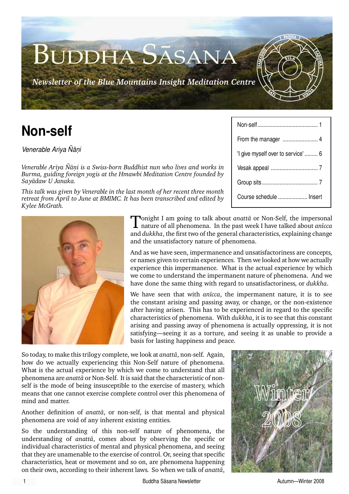*Newsletter of the Blue Mountains Insight Meditation Centre*

Buddha Sàsana

**Venerable Ariya Ñāni** 

*Venerable Ariya Ñāni is a Swiss-born Buddhist nun who lives and works in Burma, guiding foreign yogis at the Hmawbi Meditation Centre founded by Sayàdaw U Janaka.* 

*This talk was given by Venerable in the last month of her recent three month retreat from April to June at BMIMC. It has been transcribed and edited by Kylee McGrath.*

**Non-self** Non-self......................................... <sup>1</sup> From the manager ........................ 4 'I give myself over to service' ......... 6 Vesak appeal ................................ 7 Group sits...................................... 7 Course schedule .................... Insert

S $5LL$ 

VIRI<sup>Y</sup>

.<br>م

S<br>Se HA

**SAMAD**<br>SAMADIAN

 $\mathcal{S}$ 

ক

PANNA



Tonight I am going to talk about *anattà* or Non-Self, the impersonal nature of all phenomena. In the past week I have talked about *anãcca* and *dukkha*, the first two of the general characteristics, explaining change and the unsatisfactory nature of phenomena.

And as we have seen, impermanence and unsatisfactoriness are concepts, or names given to certain experiences. Then we looked at how we actually experience this impermanence. What is the actual experience by which we come to understand the impermanent nature of phenomena. And we have done the same thing with regard to unsatisfactoriness, or *dukkha*.

We have seen that with *anãcca*, the impermanent nature, it is to see the constant arising and passing away, or change, or the non-existence after having arisen. This has to be experienced in regard to the specific characteristics of phenomena. With *dukkha*, it is to see that this constant arising and passing away of phenomena is actually oppressing, it is not satisfying—seeing it as a torture, and seeing it as unable to provide a basis for lasting happiness and peace.

So today, to make this trilogy complete, we look at *anattà*, non-self. Again, how do we actually experiencing this Non-Self nature of phenomena. What is the actual experience by which we come to understand that all phenomena are *anattà* or Non-Self. It is said that the characteristic of nonself is the mode of being insusceptible to the exercise of mastery, which means that one cannot exercise complete control over this phenomena of mind and matter.

Another definition of *anattà*, or non-self, is that mental and physical phenomena are void of any inherent existing entities.

So the understanding of this non-self nature of phenomena, the understanding of *anattà*, comes about by observing the specific or individual characteristics of mental and physical phenomena, and seeing that they are unamenable to the exercise of control. Or, seeing that specific characteristics, heat or movement and so on, are phenomena happening on their own, according to their inherent laws. So when we talk of *anattà*,

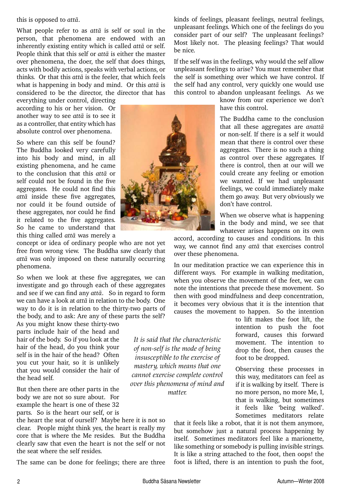this is opposed to *attà*.

What people refer to as *attà* is self or soul in the person, that phenomena are endowed with an inherently existing entity which is called *attà* or self. People think that this self or *attà* is either the master over phenomena, the doer, the self that does things, acts with bodily actions, speaks with verbal actions, or thinks. Or that this *attà* is the feeler, that which feels what is happening in body and mind. Or this *attà* is considered to be the director, the director that has

everything under control, directing according to his or her vision. Or another way to see *attà* is to see it as a controller, that entity which has absolute control over phenomena.

So where can this self be found? The Buddha looked very carefully into his body and mind, in all existing phenomena, and he came to the conclusion that this *attà* or self could not be found in the five aggregates. He could not find this *attà* inside these five aggregates, nor could it be found outside of these aggregates, nor could he find it related to the five aggregates. So he came to understand that this thing called *attà* was merely a

concept or idea of ordinary people who are not yet free from wrong view. The Buddha saw clearly that *attà* was only imposed on these naturally occurring phenomena.

So when we look at these five aggregates, we can investigate and go through each of these aggregates and see if we can find any *attà*. So in regard to form we can have a look at *attà* in relation to the body. One way to do it is in relation to the thirty-two parts of the body, and to ask: Are any of these parts the self?

As you might know these thirty-two parts include hair of the head and hair of the body. So if you look at the hair of the head, do you think your self is in the hair of the head? Often you cut your hair, so it is unlikely that you would consider the hair of the head self.

But then there are other parts in the body we are not so sure about. For example the heart is one of these 32 parts. So is the heart our self, or is

the heart the seat of ourself? Maybe here it is not so clear. People might think yes, the heart is really my core that is where the Me resides. But the Buddha clearly saw that even the heart is not the self or not the seat where the self resides.

The same can be done for feelings; there are three

kinds of feelings, pleasant feelings, neutral feelings, unpleasant feelings. Which one of the feelings do you consider part of our self? The unpleasant feelings? Most likely not. The pleasing feelings? That would be nice.

If the self was in the feelings, why would the self allow unpleasant feelings to arise? You must remember that the self is something over which we have control. If the self had any control, very quickly one would use this control to abandon unpleasant feelings. As we

know from our experience we don't have this control.

The Buddha came to the conclusion that all these aggregates are *anattà* or non-self. If there is a self it would mean that there is control over these aggregates. There is no such a thing as control over these aggregates. If there is control, then at our will we could create any feeling or emotion we wanted. If we had unpleasant feelings, we could immediately make them go away. But very obviously we don't have control.

When we observe what is happening in the body and mind, we see that whatever arises happens on its own

accord, according to causes and conditions. In this way, we cannot find any *attà* that exercises control over these phenomena.

In our meditation practice we can experience this in different ways. For example in walking meditation, when you observe the movement of the feet, we can note the intentions that precede these movement. So then with good mindfulness and deep concentration, it becomes very obvious that it is the intention that causes the movement to happen. So the intention

> to lift makes the foot lift, the intention to push the foot forward, causes this forward movement. The intention to drop the foot, then causes the foot to be dropped.

> Observing these processes in this way, meditators can feel as if it is walking by itself. There is no more person, no more Me, I, that is walking, but sometimes it feels like 'being walked'. Sometimes meditators relate

that it feels like a robot, that it is not them anymore, but somehow just a natural process happening by itself. Sometimes meditators feel like a marionette, like something or somebody is pulling invisible strings. It is like a string attached to the foot, then oops! the foot is lifted, there is an intention to push the foot,



*It is said that the characteristic of non-self is the mode of being insusceptible to the exercise of mastery, which means that one cannot exercise complete control over this phenomena of mind and matter.*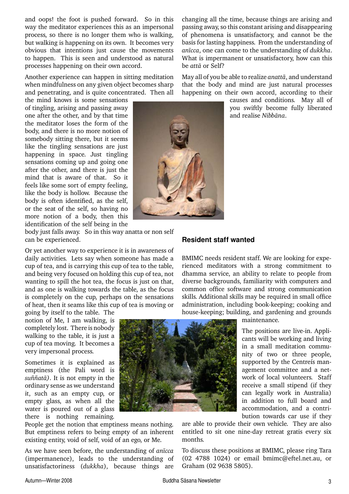and oops! the foot is pushed forward. So in this way the meditator experiences this as an impersonal process, so there is no longer them who is walking, but walking is happening on its own. It becomes very obvious that intentions just cause the movements to happen. This is seen and understood as natural processes happening on their own accord.

Another experience can happen in sitting meditation when mindfulness on any given object becomes sharp and penetrating, and is quite concentrated. Then all

the mind knows is some sensations of tingling, arising and passing away one after the other, and by that time the meditator loses the form of the body, and there is no more notion of somebody sitting there, but it seems like the tingling sensations are just happening in space. Just tingling sensations coming up and going one after the other, and there is just the mind that is aware of that. So it feels like some sort of empty feeling, like the body is hollow. Because the body is often identified, as the self, or the seat of the self, so having no more notion of a body, then this identification of the self being in the

body just falls away. So in this way anatta or non self can be experienced.

Or yet another way to experience it is in awareness of daily activities. Lets say when someone has made a cup of tea, and is carrying this cup of tea to the table, and being very focused on holding this cup of tea, not wanting to spill the hot tea, the focus is just on that, and as one is walking towards the table, as the focus is completely on the cup, perhaps on the sensations of heat, then it seams like this cup of tea is moving or

going by itself to the table. The notion of Me, I am walking, is completely lost. There is nobody walking to the table, it is just a cup of tea moving. It becomes a very impersonal process.

Sometimes it is explained as emptiness (the Pali word is *suññatā*). It is not empty in the ordinary sense as we understand it, such as an empty cup, or empty glass, as when all the water is poured out of a glass there is nothing remaining.

People get the notion that emptiness means nothing. But emptiness refers to being empty of an inherent existing entity, void of self, void of an ego, or Me.

As we have seen before, the understanding of *anãcca* (impermanence), leads to the understanding of unsatisfactoriness (*dukkha*), because things are changing all the time, because things are arising and passing away, so this constant arising and disappearing of phenomena is unsatisfactory, and cannot be the basis for lasting happiness. From the understanding of *anãcca*, one can come to the understanding of *dukkha*. What is impermanent or unsatisfactory, how can this be *attà* or Self?

May all of you be able to realize *anattà*, and understand that the body and mind are just natural processes happening on their own accord, according to their

> causes and conditions. May all of you swiftly become fully liberated and realise *Nibbàna*.

#### **Resident staff wanted**

BMIMC needs resident staff. We are looking for experienced meditators with a strong commitment to dhamma service, an ability to relate to people from diverse backgrounds, familiarity with computers and common office software and strong communication skills. Additional skills may be required in small office administration, including book-keeping; cooking and house-keeping; building, and gardening and grounds

maintenance.

The positions are live-in. Applicants will be working and living in a small meditation community of two or three people, supported by the Centreís management committee and a network of local volunteers. Staff receive a small stipend (if they can legally work in Australia) in addition to full board and accommodation, and a contribution towards car use if they

are able to provide their own vehicle. They are also entitled to sit one nine-day retreat gratis every six months.

To discuss these positions at BMIMC, please ring Tara (02 4788 1024) or email bmimc@eftel.net.au, or Graham (02 9638 5805).

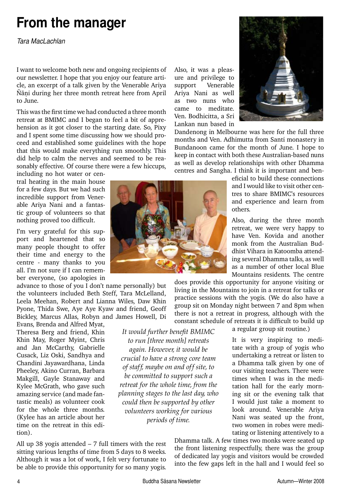### **From the manager**

*Tara MacLachlan*

I want to welcome both new and ongoing recipients of our newsletter. I hope that you enjoy our feature article, an excerpt of a talk given by the Venerable Ariya Ñāni during her three month retreat here from April to June.

This was the first time we had conducted a three month retreat at BMIMC and I began to feel a bit of apprehension as it got closer to the starting date. So, Pixy and I spent some time discussing how we should proceed and established some guidelines with the hope that this would make everything run smoothly. This did help to calm the nerves and seemed to be reasonably effective. Of course there were a few hiccups,

including no hot water or central heating in the main house for a few days. But we had such incredible support from Venerable Ariya Nani and a fantastic group of volunteers so that nothing proved too difficult.

I'm very grateful for this support and heartened that so many people thought to offer their time and energy to the centre - many thanks to you all. I'm not sure if I can remember everyone, (so apologies in

advance to those of you I don't name personally) but the volunteers included Beth Steff, Tara McLelland, Leela Meehan, Robert and Lianna Wiles, Daw Khin Pyone, Thida Swe, Aye Aye Kyaw and friend, Geoff Bickley, Marcus Allas, Robyn and James Howell, Di Evans, Brenda and Alfred Myat,

Theresa Berg and friend, Khin Khin May, Roger Myint, Chris and Jan McCarthy, Gabrielle Cusack, Liz Oski, Sandhya and Chandini Jayawardhana, Linda Pheeley, Akino Curran, Barbara Makgill, Gayle Stanaway and Kylee McGrath, who gave such amazing service (and made fantastic meals) as volunteer cook for the whole three months. (Kylee has an article about her time on the retreat in this edition).

All up 38 yogis attended  $-7$  full timers with the rest sitting various lengths of time from 5 days to 8 weeks. Although it was a lot of work, I felt very fortunate to be able to provide this opportunity for so many yogis.

Also, it was a pleasure and privilege to support Venerable Ariya Nani as well as two nuns who came to meditate. Ven. Bodhicitta, a Sri Lankan nun based in



Dandenong in Melbourne was here for the full three months and Ven. Adhimutta from Santi monastery in Bundanoon came for the month of June. I hope to keep in contact with both these Australian-based nuns as well as develop relationships with other Dhamma centres and Sangha. I think it is important and ben-

> eficial to build these connections and I would like to visit other centres to share BMIMC's resources and experience and learn from others.

> Also, during the three month retreat, we were very happy to have Ven. Kovida and another monk from the Australian Buddhist Vihara in Katoomba attending several Dhamma talks, as well as a number of other local Blue Mountains residents. The centre

does provide this opportunity for anyone visiting or living in the Mountains to join in a retreat for talks or practice sessions with the yogis. (We do also have a group sit on Monday night between 7 and 8pm when there is not a retreat in progress, although with the constant schedule of retreats it is difficult to build up

a regular group sit routine.)

It is very inspiring to meditate with a group of yogis who undertaking a retreat or listen to a Dhamma talk given by one of our visiting teachers. There were times when I was in the meditation hall for the early morning sit or the evening talk that I would just take a moment to look around. Venerable Ariya Nani was seated up the front, two women in robes were meditating or listening attentively to a

Dhamma talk. A few times two monks were seated up the front listening respectfully, there was the group of dedicated lay yogis and visitors would be crowded into the few gaps left in the hall and I would feel so



*It would further benefit BMIMC to run [three month] retreats again. However, it would be crucial to have a strong core team of staff, maybe on and off site, to be committed to support such a retreat for the whole time, from the planning stages to the last day, who could then be supported by other volunteers working for various periods of time.*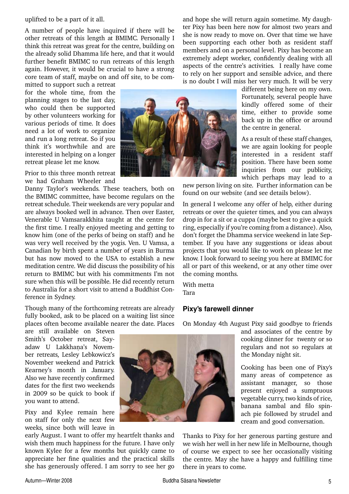#### uplifted to be a part of it all.

A number of people have inquired if there will be other retreats of this length at BMIMC. Personally I think this retreat was great for the centre, building on the already solid Dhamma life here, and that it would further benefit BMIMC to run retreats of this length again. However, it would be crucial to have a strong core team of staff, maybe on and off site, to be com-

mitted to support such a retreat for the whole time, from the planning stages to the last day, who could then be supported by other volunteers working for various periods of time. It does need a lot of work to organize and run a long retreat. So if you think it's worthwhile and are interested in helping on a longer retreat please let me know.

Prior to this three month retreat we had Graham Wheeler and

Danny Taylor's weekends. These teachers, both on the BMIMC committee, have become regulars on the retreat schedule. Their weekends are very popular and are always booked well in advance. Then over Easter, Venerable U Vamsarakkhita taught at the centre for the first time. I really enjoyed meeting and getting to know him (one of the perks of being on staff) and he was very well received by the yogis. Ven. U Vamsa, a Canadian by birth spent a number of years in Burma but has now moved to the USA to establish a new meditation centre. We did discuss the possibility of his return to BMIMC but with his commitments I'm not sure when this will be possible. He did recently return to Australia for a short visit to attend a Buddhist Conference in Sydney.

#### Though many of the forthcoming retreats are already fully booked, ask to be placed on a waiting list since places often become available nearer the date. Places

are still available on Steven Smith's October retreat, Sayadaw U Lakkhana's November retreats, Lesley Lebkowicz's November weekend and Patrick Kearney's month in January. Also we have recently confirmed dates for the first two weekends in 2009 so be quick to book if you want to attend.

Pixy and Kylee remain here on staff for only the next few weeks, since both will leave in

early August. I want to offer my heartfelt thanks and wish them much happiness for the future. I have only known Kylee for a few months but quickly came to appreciate her fine qualities and the practical skills she has generously offered. I am sorry to see her go



and hope she will return again sometime. My daughter Pixy has been here now for almost two years and she is now ready to move on. Over that time we have been supporting each other both as resident staff members and on a personal level. Pixy has become an extremely adept worker, confidently dealing with all aspects of the centre's activities. I really have come to rely on her support and sensible advice, and there is no doubt I will miss her very much. It will be very

> different being here on my own. Fortunately, several people have kindly offered some of their time, either to provide some back up in the office or around the centre in general.

> As a result of these staff changes, we are again looking for people interested in a resident staff position. There have been some inquiries from our publicity, which perhaps may lead to a

new person living on site. Further information can be found on our website (and see details below).

In general I welcome any offer of help, either during retreats or over the quieter times, and you can always drop in for a sit or a cuppa (maybe best to give a quick ring, especially if you're coming from a distance). Also, don't forget the Dhamma service weekend in late September. If you have any suggestions or ideas about projects that you would like to work on please let me know. I look forward to seeing you here at BMIMC for all or part of this weekend, or at any other time over the coming months.

With metta Tara

### **Pixy's farewell dinner**

On Monday 4th August Pixy said goodbye to friends

and associates of the centre by cooking dinner for twenty or so regulars and not so regulars at the Monday night sit.

Cooking has been one of Pixy's many areas of competence as assistant manager, so those present enjoyed a sumptuous vegetable curry, two kinds of rice, banana sambal and filo spinach pie followed by strudel and cream and good conversation.

Thanks to Pixy for her generous parting gesture and we wish her well in her new life in Melbourne, though of course we expect to see her occasionally visiting the centre. May she have a happy and fulfilling time there in years to come.

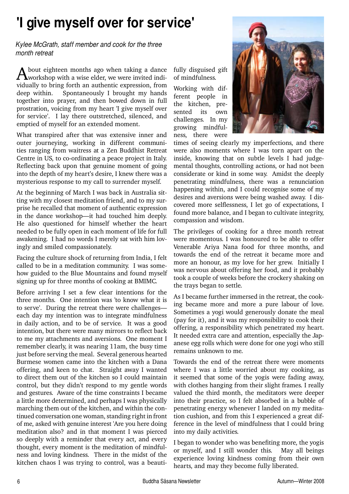## **'I give myself over for service'**

*Kylee McGrath, staff member and cook for the three month retreat*

A bout eighteen months ago when taking a dance<br>workshop with a wise elder, we were invited individually to bring forth an authentic expression, from deep within. Spontaneously I brought my hands together into prayer, and then bowed down in full prostration, voicing from my heart 'I give myself over for service'. I lay there outstretched, silenced, and emptied of myself for an extended moment.

What transpired after that was extensive inner and outer journeying, working in different communities ranging from waitress at a Zen Buddhist Retreat Centre in US, to co-ordinating a peace project in Italy. Reflecting back upon that genuine moment of going into the depth of my heart's desire, I knew there was a mysterious response to my call to surrender myself.

At the beginning of March I was back in Australia sitting with my closest meditation friend, and to my surprise he recalled that moment of authentic expression in the dance workshop—it had touched him deeply. He also questioned for himself whether the heart needed to be fully open in each moment of life for full awakening. I had no words I merely sat with him lovingly and smiled compassionately.

Facing the culture shock of returning from India, I felt called to be in a meditation community. I was somehow guided to the Blue Mountains and found myself signing up for three months of cooking at BMIMC.

Before arriving I set a few clear intentions for the three months. One intention was 'to know what it is to serve'. During the retreat there were challenges each day my intention was to integrate mindfulness in daily action, and to be of service. It was a good intention, but there were many mirrors to reflect back to me my attachments and aversions. One moment I remember clearly, it was nearing 11am, the busy time just before serving the meal. Several generous hearted Burmese women came into the kitchen with a Dana offering, and keen to chat. Straight away I wanted to direct them out of the kitchen so I could maintain control, but they didn't respond to my gentle words and gestures. Aware of the time constraints I became a little more determined, and perhaps I was physically marching them out of the kitchen, and within the continued conversation one woman, standing right in front of me, asked with genuine interest 'Are you here doing meditation also? and in that moment I was pierced so deeply with a reminder that every act, and every thought, every moment is the meditation of mindfulness and loving kindness. There in the midst of the kitchen chaos I was trying to control, was a beautifully disguised gift of mindfulness.

Working with different people in the kitchen, presented its own challenges. In my growing mindfulness, there were



times of seeing clearly my imperfections, and there were also moments where I was torn apart on the inside, knowing that on subtle levels I had judgemental thoughts, controlling actions, or had not been considerate or kind in some way. Amidst the deeply penetrating mindfulness, there was a renunciation happening within, and I could recognise some of my desires and aversions were being washed away. I discovered more selflessness, I let go of expectations, I found more balance, and I began to cultivate integrity, compassion and wisdom.

The privileges of cooking for a three month retreat were momentous. I was honoured to be able to offer Venerable Ariya Nana food for three months, and towards the end of the retreat it became more and more an honour, as my love for her grew. Initially I was nervous about offering her food, and it probably took a couple of weeks before the crockery shaking on the trays began to settle.

As I became further immersed in the retreat, the cooking became more and more a pure labour of love. Sometimes a yogi would generously donate the meal (pay for it), and it was my responsibility to cook their offering, a responsibility which penetrated my heart. It needed extra care and attention, especially the Japanese egg rolls which were done for one yogi who still remains unknown to me.

Towards the end of the retreat there were moments where I was a little worried about my cooking, as it seemed that some of the yogis were fading away, with clothes hanging from their slight frames. I really valued the third month, the meditators were deeper into their practice, so I felt absorbed in a bubble of penetrating energy whenever I landed on my meditation cushion, and from this I experienced a great difference in the level of mindfulness that I could bring into my daily activities.

I began to wonder who was benefiting more, the yogis or myself, and I still wonder this. May all beings experience loving kindness coming from their own hearts, and may they become fully liberated.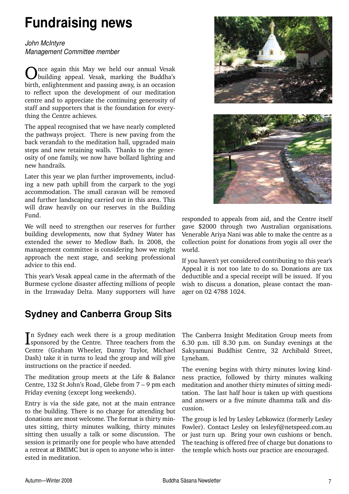# **Fundraising news**

*John McIntyre Management Committee member*

nce again this May we held our annual Vesak building appeal. Vesak, marking the Buddha's birth, enlightenment and passing away, is an occasion to reflect upon the development of our meditation centre and to appreciate the continuing generosity of staff and supporters that is the foundation for everything the Centre achieves.

The appeal recognised that we have nearly completed the pathways project. There is new paving from the back verandah to the meditation hall, upgraded main steps and new retaining walls. Thanks to the generosity of one family, we now have bollard lighting and new handrails.

Later this year we plan further improvements, including a new path uphill from the carpark to the yogi accommodation. The small caravan will be removed and further landscaping carried out in this area. This will draw heavily on our reserves in the Building Fund.

We will need to strengthen our reserves for further building developments, now that Sydney Water has extended the sewer to Medlow Bath. In 2008, the management committee is considering how we might approach the next stage, and seeking professional advice to this end.

This year's Vesak appeal came in the aftermath of the Burmese cyclone disaster affecting millions of people in the Irrawaday Delta. Many supporters will have

### **Sydney and Canberra Group Sits**

In Sydney each week there is a group meditation<br>Isponsored by the Centre. Three teachers from the **T**n Sydney each week there is a group meditation Centre (Graham Wheeler, Danny Taylor, Michael Dash) take it in turns to lead the group and will give instructions on the practice if needed.

The meditation group meets at the Life & Balance Centre, 132 St John's Road, Glebe from 7 – 9 pm each Friday evening (except long weekends).

Entry is via the side gate, not at the main entrance to the building. There is no charge for attending but donations are most welcome. The format is thirty minutes sitting, thirty minutes walking, thirty minutes sitting then usually a talk or some discussion. The session is primarily one for people who have attended a retreat at BMIMC but is open to anyone who is interested in meditation.





responded to appeals from aid, and the Centre itself gave \$2000 through two Australian organisations. Venerable Ariya Nani was able to make the centre as a collection point for donations from yogis all over the world.

If you haven't yet considered contributing to this year's Appeal it is not too late to do so. Donations are tax deductible and a special receipt will be issued. If you wish to discuss a donation, please contact the manager on 02 4788 1024.

The Canberra Insight Meditation Group meets from 6.30 p.m. till 8.30 p.m. on Sunday evenings at the Sakyamuni Buddhist Centre, 32 Archibald Street, Lyneham.

The evening begins with thirty minutes loving kindness practice, followed by thirty minutes walking meditation and another thirty minutes of sitting meditation. The last half hour is taken up with questions and answers or a five minute dhamma talk and discussion.

The group is led by Lesley Lebkowicz (formerly Lesley Fowler). Contact Lesley on lesleyf@netspeed.com.au or just turn up. Bring your own cushions or bench. The teaching is offered free of charge but donations to the temple which hosts our practice are encouraged.